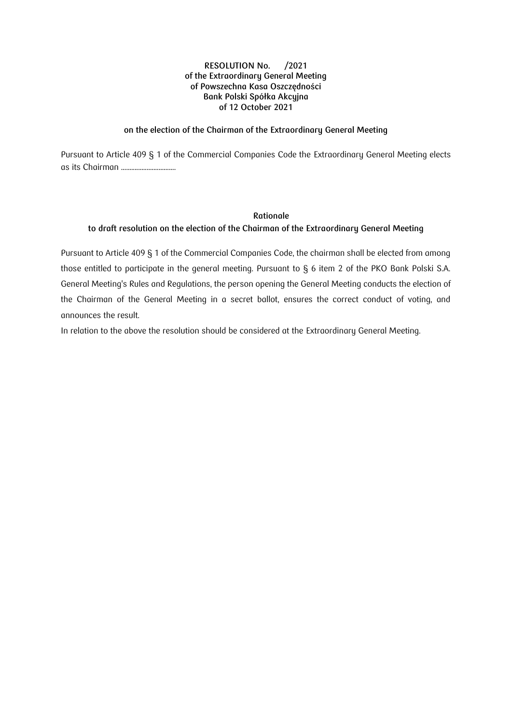### **on the election of the Chairman of the Extraordinary General Meeting**

Pursuant to Article 409 § 1 of the Commercial Companies Code the Extraordinary General Meeting elects as its Chairman ................................

# **Rationale to draft resolution on the election of the Chairman of the Extraordinary General Meeting**

Pursuant to Article 409 § 1 of the Commercial Companies Code, the chairman shall be elected from among those entitled to participate in the general meeting. Pursuant to § 6 item 2 of the PKO Bank Polski S.A. General Meeting's Rules and Regulations, the person opening the General Meeting conducts the election of the Chairman of the General Meeting in a secret ballot, ensures the correct conduct of voting, and announces the result.

In relation to the above the resolution should be considered at the Extraordinary General Meeting.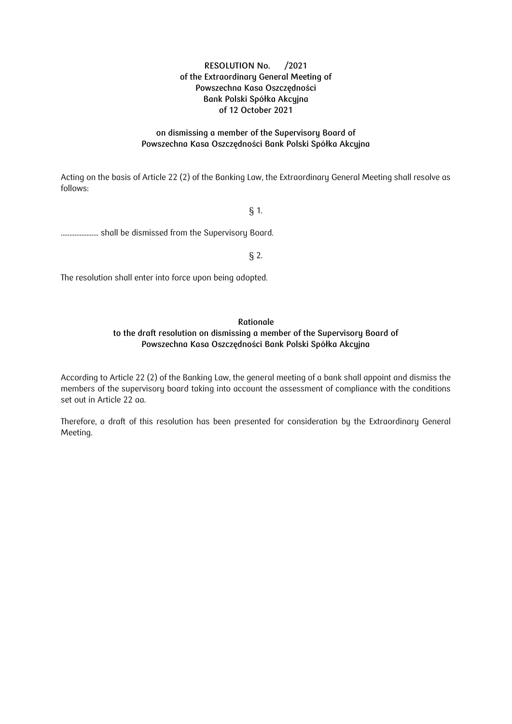### **on dismissing a member of the Supervisory Board of Powszechna Kasa Oszczędności Bank Polski Spółka Akcyjna**

Acting on the basis of Article 22 (2) of the Banking Law, the Extraordinary General Meeting shall resolve as follows:

# § 1.

...................... shall be dismissed from the Supervisory Board.

§ 2.

The resolution shall enter into force upon being adopted.

# **Rationale to the draft resolution on dismissing a member of the Supervisory Board of Powszechna Kasa Oszczędności Bank Polski Spółka Akcyjna**

According to Article 22 (2) of the Banking Law, the general meeting of a bank shall appoint and dismiss the members of the supervisory board taking into account the assessment of compliance with the conditions set out in Article 22 aa.

Therefore, a draft of this resolution has been presented for consideration by the Extraordinary General Meeting.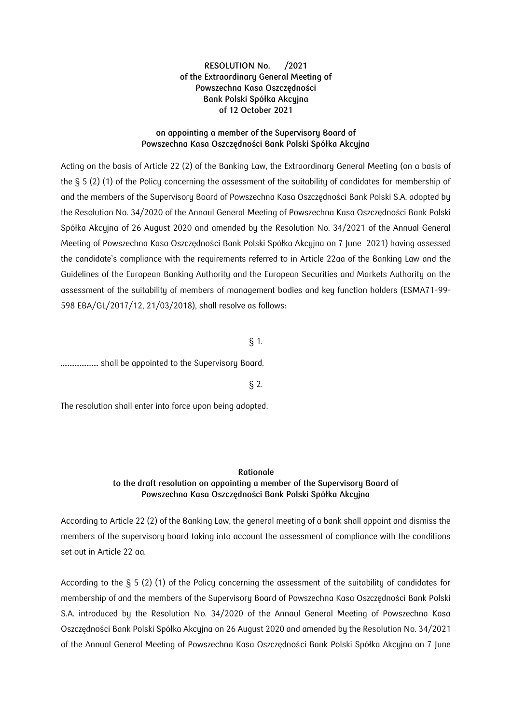### **on appointing a member of the Supervisory Board of Powszechna Kasa Oszczędności Bank Polski Spółka Akcyjna**

Acting on the basis of Article 22 (2) of the Banking Law, the Extraordinary General Meeting (on a basis of the § 5 (2) (1) of the Policy concerning the assessment of the suitability of candidates for membership of and the members of the Supervisory Board of Powszechna Kasa Oszczędności Bank Polski S.A. adopted by the Resolution No. 34/2020 of the Annaul General Meeting of Powszechna Kasa Oszczędności Bank Polski Spółka Akcyjna of 26 August 2020 and amended by the Resolution No. 34/2021 of the Annual General Meeting of Powszechna Kasa Oszczędności Bank Polski Spółka Akcyjna on 7 June 2021) having assessed the candidate's compliance with the requirements referred to in Article 22aa of the Banking Law and the Guidelines of the European Banking Authority and the European Securities and Markets Authority on the assessment of the suitability of members of management bodies and key function holders (ESMA71-99- 598 EBA/GL/2017/12, 21/03/2018), shall resolve as follows:

### § 1.

...................... shall be appointed to the Supervisory Board.

§ 2.

The resolution shall enter into force upon being adopted.

#### **Rationale**

# **to the draft resolution on appointing a member of the Supervisory Board of Powszechna Kasa Oszczędności Bank Polski Spółka Akcyjna**

According to Article 22 (2) of the Banking Law, the general meeting of a bank shall appoint and dismiss the members of the supervisory board taking into account the assessment of compliance with the conditions set out in Article 22 aa.

According to the § 5 (2) (1) of the Policy concerning the assessment of the suitability of candidates for membership of and the members of the Supervisory Board of Powszechna Kasa Oszczędności Bank Polski S.A. introduced by the Resolution No. 34/2020 of the Annaul General Meeting of Powszechna Kasa Oszczędności Bank Polski Spółka Akcyjna on 26 August 2020 and amended by the Resolution No. 34/2021 of the Annual General Meeting of Powszechna Kasa Oszczędności Bank Polski Spółka Akcyjna on 7 June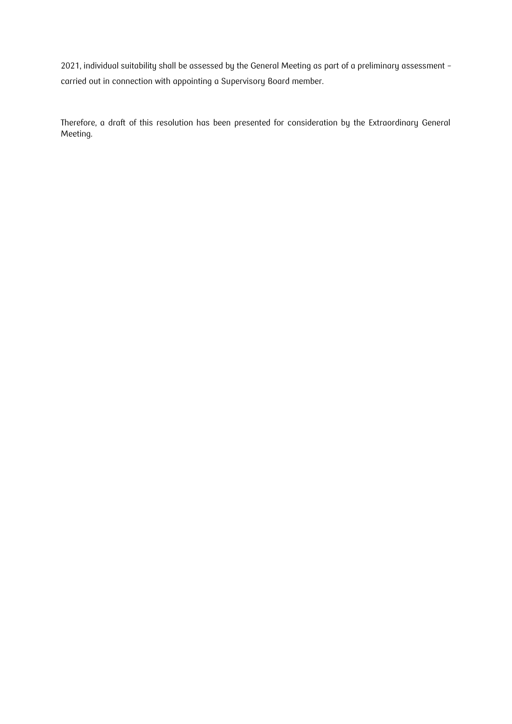2021, individual suitability shall be assessed by the General Meeting as part of a preliminary assessment – carried out in connection with appointing a Supervisory Board member.

Therefore, a draft of this resolution has been presented for consideration by the Extraordinary General Meeting.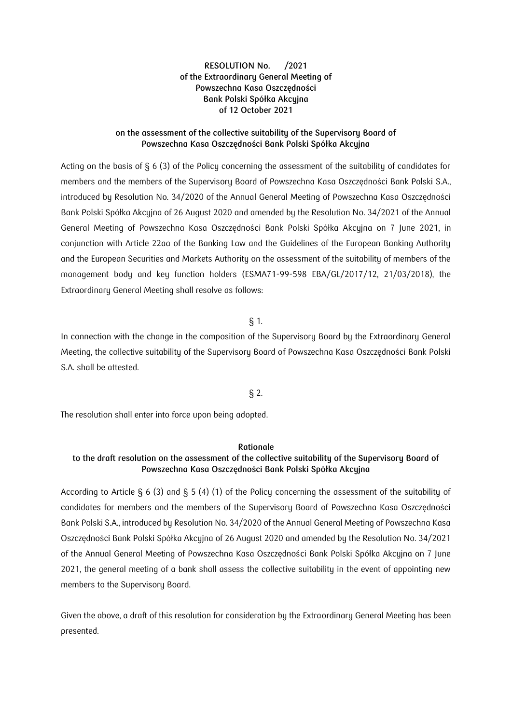### **on the assessment of the collective suitability of the Supervisory Board of Powszechna Kasa Oszczędności Bank Polski Spółka Akcyjna**

Acting on the basis of § 6 (3) of the Policy concerning the assessment of the suitability of candidates for members and the members of the Supervisory Board of Powszechna Kasa Oszczędności Bank Polski S.A., introduced by Resolution No. 34/2020 of the Annual General Meeting of Powszechna Kasa Oszczędności Bank Polski Spółka Akcyjna of 26 August 2020 and amended by the Resolution No. 34/2021 of the Annual General Meeting of Powszechna Kasa Oszczędności Bank Polski Spółka Akcyjna on 7 June 2021, in conjunction with Article 22aa of the Banking Law and the Guidelines of the European Banking Authority and the European Securities and Markets Authority on the assessment of the suitability of members of the management body and key function holders (ESMA71-99-598 EBA/GL/2017/12, 21/03/2018), the Extraordinary General Meeting shall resolve as follows:

### § 1.

In connection with the change in the composition of the Supervisory Board by the Extraordinary General Meeting, the collective suitability of the Supervisory Board of Powszechna Kasa Oszczędności Bank Polski S.A. shall be attested.

### § 2.

The resolution shall enter into force upon being adopted.

### **Rationale**

### **to the draft resolution on the assessment of the collective suitability of the Supervisory Board of Powszechna Kasa Oszczędności Bank Polski Spółka Akcyjna**

According to Article  $\xi$  6 (3) and  $\xi$  5 (4) (1) of the Policy concerning the assessment of the suitability of candidates for members and the members of the Supervisory Board of Powszechna Kasa Oszczędności Bank Polski S.A., introduced by Resolution No. 34/2020 of the Annual General Meeting of Powszechna Kasa Oszczędności Bank Polski Spółka Akcyjna of 26 August 2020 and amended by the Resolution No. 34/2021 of the Annual General Meeting of Powszechna Kasa Oszczędności Bank Polski Spółka Akcyjna on 7 June 2021, the general meeting of a bank shall assess the collective suitability in the event of appointing new members to the Supervisory Board.

Given the above, a draft of this resolution for consideration by the Extraordinary General Meeting has been presented.